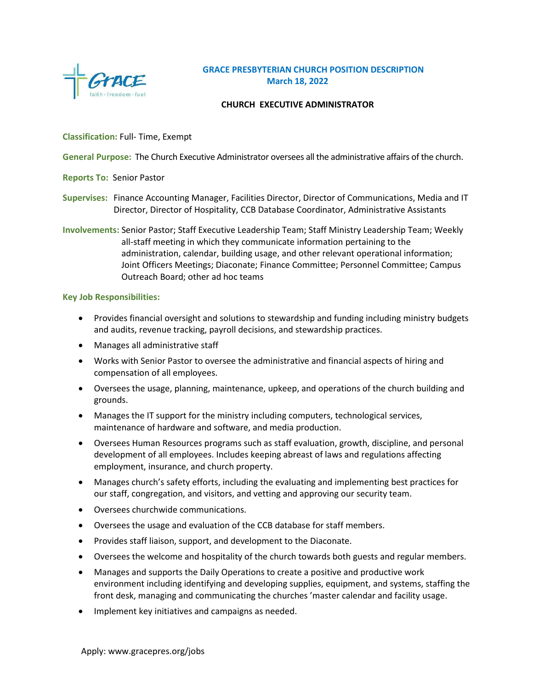

## **GRACE PRESBYTERIAN CHURCH POSITION DESCRIPTION March 18, 2022**

### **CHURCH EXECUTIVE ADMINISTRATOR**

## **Classification:** Full- Time, Exempt

**General Purpose:** The Church Executive Administrator oversees all the administrative affairs of the church.

- **Reports To:** Senior Pastor
- **Supervises:** Finance Accounting Manager, Facilities Director, Director of Communications, Media and IT Director, Director of Hospitality, CCB Database Coordinator, Administrative Assistants

**Involvements:** Senior Pastor; Staff Executive Leadership Team; Staff Ministry Leadership Team; Weekly all-staff meeting in which they communicate information pertaining to the administration, calendar, building usage, and other relevant operational information; Joint Officers Meetings; Diaconate; Finance Committee; Personnel Committee; Campus Outreach Board; other ad hoc teams

#### **Key Job Responsibilities:**

- Provides financial oversight and solutions to stewardship and funding including ministry budgets and audits, revenue tracking, payroll decisions, and stewardship practices.
- Manages all administrative staff
- Works with Senior Pastor to oversee the administrative and financial aspects of hiring and compensation of all employees.
- Oversees the usage, planning, maintenance, upkeep, and operations of the church building and grounds.
- Manages the IT support for the ministry including computers, technological services, maintenance of hardware and software, and media production.
- Oversees Human Resources programs such as staff evaluation, growth, discipline, and personal development of all employees. Includes keeping abreast of laws and regulations affecting employment, insurance, and church property.
- Manages church's safety efforts, including the evaluating and implementing best practices for our staff, congregation, and visitors, and vetting and approving our security team.
- Oversees churchwide communications.
- Oversees the usage and evaluation of the CCB database for staff members.
- Provides staff liaison, support, and development to the Diaconate.
- Oversees the welcome and hospitality of the church towards both guests and regular members.
- Manages and supports the Daily Operations to create a positive and productive work environment including identifying and developing supplies, equipment, and systems, staffing the front desk, managing and communicating the churches 'master calendar and facility usage.
- Implement key initiatives and campaigns as needed.